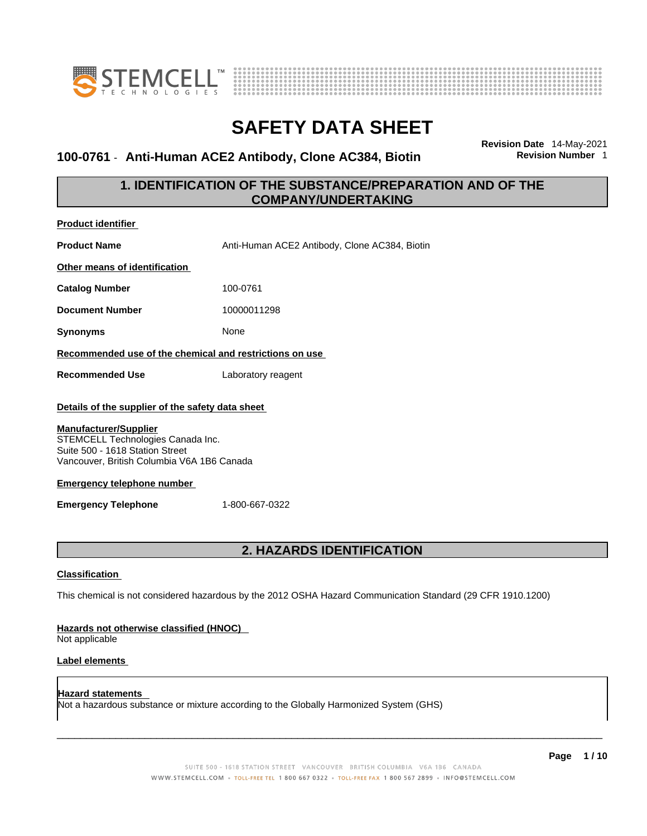

**Product identifier**



# **SAFETY DATA SHEET**

### 100-0761 - Anti-Human ACE2 Antibody, Clone AC384, Biotin

**Revision Date** 14-May-2021

### **1. IDENTIFICATION OF THE SUBSTANCE/PREPARATION AND OF THE COMPANY/UNDERTAKING**

| <b>Product Rentiller</b>                                                                                                                                                                                                                                                                    |                                               |  |
|---------------------------------------------------------------------------------------------------------------------------------------------------------------------------------------------------------------------------------------------------------------------------------------------|-----------------------------------------------|--|
| <b>Product Name</b>                                                                                                                                                                                                                                                                         | Anti-Human ACE2 Antibody, Clone AC384, Biotin |  |
| Other means of identification                                                                                                                                                                                                                                                               |                                               |  |
| <b>Catalog Number</b>                                                                                                                                                                                                                                                                       | 100-0761                                      |  |
| <b>Document Number</b>                                                                                                                                                                                                                                                                      | 10000011298                                   |  |
| <b>Synonyms</b>                                                                                                                                                                                                                                                                             | None                                          |  |
| Recommended use of the chemical and restrictions on use                                                                                                                                                                                                                                     |                                               |  |
| <b>Recommended Use</b>                                                                                                                                                                                                                                                                      | Laboratory reagent                            |  |
| Details of the supplier of the safety data sheet<br><b>Manufacturer/Supplier</b><br>STEMCELL Technologies Canada Inc.<br>Suite 500 - 1618 Station Street<br>Vancouver, British Columbia V6A 1B6 Canada<br><b>Emergency telephone number</b><br><b>Emergency Telephone</b><br>1-800-667-0322 |                                               |  |
| 2. HAZARDS IDENTIFICATION                                                                                                                                                                                                                                                                   |                                               |  |
| <b>Classification</b>                                                                                                                                                                                                                                                                       |                                               |  |
| This chemical is not considered hazardous by the 2012 OSHA Hazard Communication Standard (29 CFR 1910.1200)                                                                                                                                                                                 |                                               |  |
| Hazards not otherwise classified (HNOC)<br>Not applicable                                                                                                                                                                                                                                   |                                               |  |
| Label elements                                                                                                                                                                                                                                                                              |                                               |  |

**Hazard statements**  Not a hazardous substance or mixture according to the Globally Harmonized System (GHS)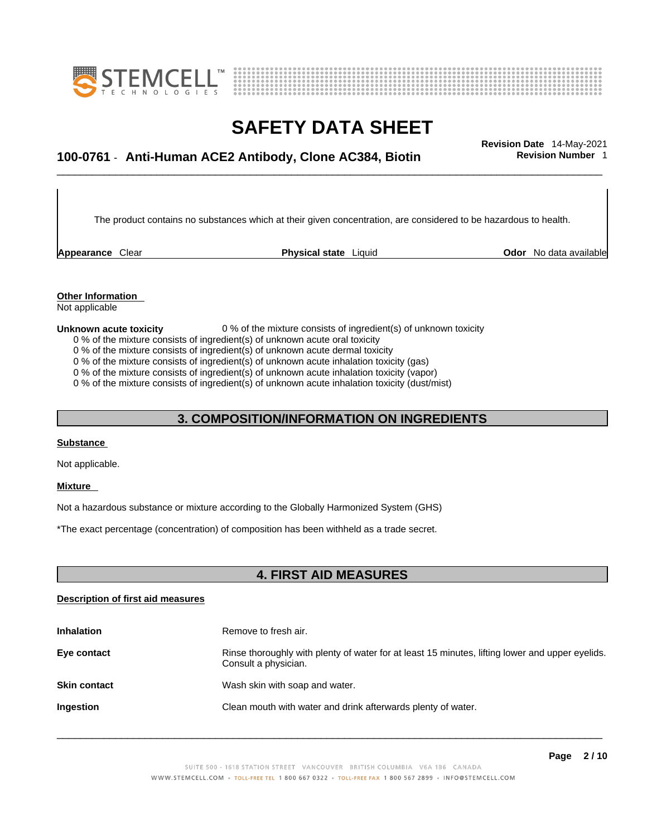



## \_\_\_\_\_\_\_\_\_\_\_\_\_\_\_\_\_\_\_\_\_\_\_\_\_\_\_\_\_\_\_\_\_\_\_\_\_\_\_\_\_\_\_\_\_\_\_\_\_\_\_\_\_\_\_\_\_\_\_\_\_\_\_\_\_\_\_\_\_\_\_\_\_\_\_\_\_\_\_\_\_\_\_\_\_\_\_\_\_\_\_\_\_ **Revision Date** 14-May-2021 **100-0761** - **Anti-Human ACE2 Antibody, Clone AC384, Biotin Revision Number** 1

The product contains no substances which at their given concentration, are considered to be hazardous to health.

**Appearance** Clear **Physical state** Liquid

**Odor** No data available

**Other Information**  Not applicable

#### **Unknown acute toxicity** 0 % of the mixture consists of ingredient(s) of unknown toxicity

0 % of the mixture consists of ingredient(s) of unknown acute oral toxicity

0 % of the mixture consists of ingredient(s) of unknown acute dermal toxicity

0 % of the mixture consists of ingredient(s) of unknown acute inhalation toxicity (gas)

0 % of the mixture consists of ingredient(s) of unknown acute inhalation toxicity (vapor)

0 % of the mixture consists of ingredient(s) of unknown acute inhalation toxicity (dust/mist)

### **3. COMPOSITION/INFORMATION ON INGREDIENTS**

### **Substance**

Not applicable.

### **Mixture**

Not a hazardous substance or mixture according to the Globally Harmonized System (GHS)

\*The exact percentage (concentration) of composition has been withheld as a trade secret.

### **4. FIRST AID MEASURES**

### **Description of first aid measures**

| <b>Inhalation</b>   | Remove to fresh air.                                                                                                    |
|---------------------|-------------------------------------------------------------------------------------------------------------------------|
| Eye contact         | Rinse thoroughly with plenty of water for at least 15 minutes, lifting lower and upper eyelids.<br>Consult a physician. |
| <b>Skin contact</b> | Wash skin with soap and water.                                                                                          |
| Ingestion           | Clean mouth with water and drink afterwards plenty of water.                                                            |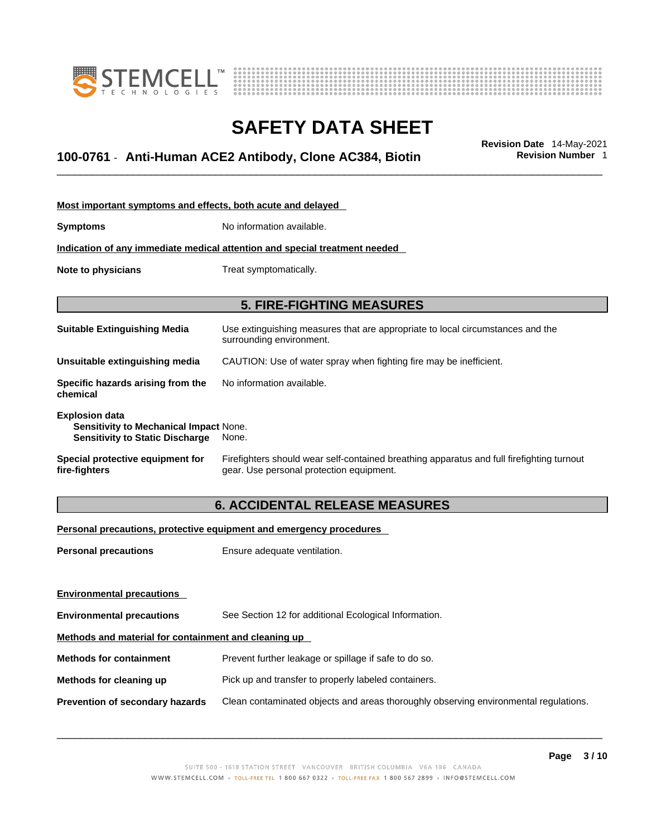



## \_\_\_\_\_\_\_\_\_\_\_\_\_\_\_\_\_\_\_\_\_\_\_\_\_\_\_\_\_\_\_\_\_\_\_\_\_\_\_\_\_\_\_\_\_\_\_\_\_\_\_\_\_\_\_\_\_\_\_\_\_\_\_\_\_\_\_\_\_\_\_\_\_\_\_\_\_\_\_\_\_\_\_\_\_\_\_\_\_\_\_\_\_ **Revision Date** 14-May-2021 **100-0761** - **Anti-Human ACE2 Antibody, Clone AC384, Biotin Revision Number** 1

| Most important symptoms and effects, both acute and delayed                                                      |                                                                                                                                       |  |
|------------------------------------------------------------------------------------------------------------------|---------------------------------------------------------------------------------------------------------------------------------------|--|
| <b>Symptoms</b>                                                                                                  | No information available.                                                                                                             |  |
|                                                                                                                  | Indication of any immediate medical attention and special treatment needed                                                            |  |
| Note to physicians                                                                                               | Treat symptomatically.                                                                                                                |  |
|                                                                                                                  |                                                                                                                                       |  |
|                                                                                                                  | <b>5. FIRE-FIGHTING MEASURES</b>                                                                                                      |  |
| <b>Suitable Extinguishing Media</b>                                                                              | Use extinguishing measures that are appropriate to local circumstances and the<br>surrounding environment.                            |  |
| Unsuitable extinguishing media                                                                                   | CAUTION: Use of water spray when fighting fire may be inefficient.                                                                    |  |
| Specific hazards arising from the<br>chemical                                                                    | No information available.                                                                                                             |  |
| <b>Explosion data</b><br><b>Sensitivity to Mechanical Impact None.</b><br><b>Sensitivity to Static Discharge</b> | None.                                                                                                                                 |  |
| Special protective equipment for<br>fire-fighters                                                                | Firefighters should wear self-contained breathing apparatus and full firefighting turnout<br>gear. Use personal protection equipment. |  |

### **6. ACCIDENTAL RELEASE MEASURES**

### **Personal precautions, protective equipment and emergency procedures**

| <b>Personal precautions</b>                          | Ensure adequate ventilation.                                                         |  |
|------------------------------------------------------|--------------------------------------------------------------------------------------|--|
|                                                      |                                                                                      |  |
| <b>Environmental precautions</b>                     |                                                                                      |  |
| <b>Environmental precautions</b>                     | See Section 12 for additional Ecological Information.                                |  |
| Methods and material for containment and cleaning up |                                                                                      |  |
| <b>Methods for containment</b>                       | Prevent further leakage or spillage if safe to do so.                                |  |
| Methods for cleaning up                              | Pick up and transfer to properly labeled containers.                                 |  |
| <b>Prevention of secondary hazards</b>               | Clean contaminated objects and areas thoroughly observing environmental regulations. |  |
|                                                      |                                                                                      |  |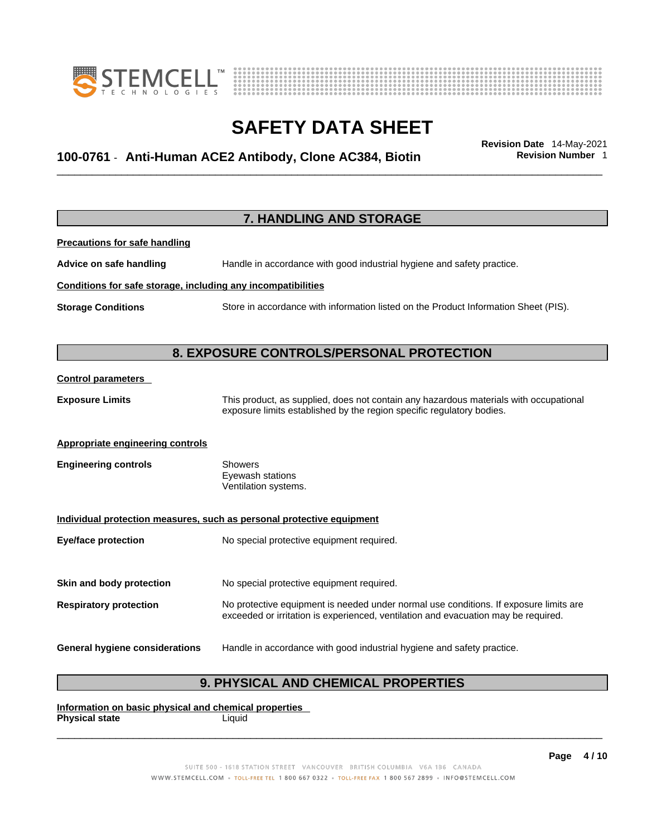



## \_\_\_\_\_\_\_\_\_\_\_\_\_\_\_\_\_\_\_\_\_\_\_\_\_\_\_\_\_\_\_\_\_\_\_\_\_\_\_\_\_\_\_\_\_\_\_\_\_\_\_\_\_\_\_\_\_\_\_\_\_\_\_\_\_\_\_\_\_\_\_\_\_\_\_\_\_\_\_\_\_\_\_\_\_\_\_\_\_\_\_\_\_ **Revision Date** 14-May-2021 **100-0761** - **Anti-Human ACE2 Antibody, Clone AC384, Biotin Revision Number** 1

|                                                              | <b>7. HANDLING AND STORAGE</b>                                                                                                                                              |
|--------------------------------------------------------------|-----------------------------------------------------------------------------------------------------------------------------------------------------------------------------|
| <b>Precautions for safe handling</b>                         |                                                                                                                                                                             |
| Advice on safe handling                                      | Handle in accordance with good industrial hygiene and safety practice.                                                                                                      |
| Conditions for safe storage, including any incompatibilities |                                                                                                                                                                             |
| <b>Storage Conditions</b>                                    | Store in accordance with information listed on the Product Information Sheet (PIS).                                                                                         |
|                                                              |                                                                                                                                                                             |
|                                                              | 8. EXPOSURE CONTROLS/PERSONAL PROTECTION                                                                                                                                    |
| <b>Control parameters</b>                                    |                                                                                                                                                                             |
| <b>Exposure Limits</b>                                       | This product, as supplied, does not contain any hazardous materials with occupational<br>exposure limits established by the region specific regulatory bodies.              |
| Appropriate engineering controls                             |                                                                                                                                                                             |
| <b>Engineering controls</b>                                  | <b>Showers</b><br>Eyewash stations<br>Ventilation systems.                                                                                                                  |
|                                                              | Individual protection measures, such as personal protective equipment                                                                                                       |
| <b>Eye/face protection</b>                                   | No special protective equipment required.                                                                                                                                   |
| Skin and body protection                                     | No special protective equipment required.                                                                                                                                   |
| <b>Respiratory protection</b>                                | No protective equipment is needed under normal use conditions. If exposure limits are<br>exceeded or irritation is experienced, ventilation and evacuation may be required. |
| <b>General hygiene considerations</b>                        | Handle in accordance with good industrial hygiene and safety practice.                                                                                                      |

### **9. PHYSICAL AND CHEMICAL PROPERTIES**

**Information on basic physical and chemical properties Physical state** Liquid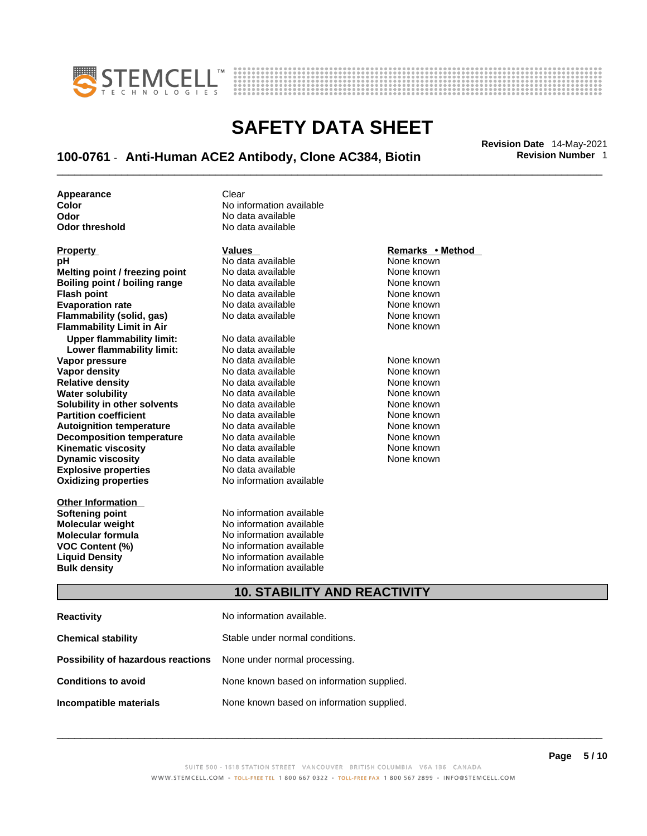



## \_\_\_\_\_\_\_\_\_\_\_\_\_\_\_\_\_\_\_\_\_\_\_\_\_\_\_\_\_\_\_\_\_\_\_\_\_\_\_\_\_\_\_\_\_\_\_\_\_\_\_\_\_\_\_\_\_\_\_\_\_\_\_\_\_\_\_\_\_\_\_\_\_\_\_\_\_\_\_\_\_\_\_\_\_\_\_\_\_\_\_\_\_ **Revision Date** 14-May-2021 **100-0761** - **Anti-Human ACE2 Antibody, Clone AC384, Biotin Revision Number** 1

**Appearance Clear** 

**Explosive properties**<br> **Oxidizing properties**<br> **Oxidizing properties**<br> **No information available Oxidizing properties Property CONSCRUTE ACCORDING METHOD Values <b>CONSCRUTE ACCORDING METHOD METHOD METHOD VALUES Property Remarks** • **Method pH** No data available None known **Melting point / freezing point** No data available None known<br> **Rojling point / bojling range** No data available None Known None known **Boiling point / boiling range** No data available **None known**<br>
No data available **None known**<br>
No data available **None known Evaporation rate Cone Cone Access Mone Cone Cone Cone Access Provident Cone Cone Access Provident Cone known<br>
<b>Flammability (solid. gas)** No data available Cone Cone Known **Flammability (solid, gas)** No data available None known **Flammability Limit in Air None known None known Upper flammability limit:** No data available **Lower flammability limit:** No data available **Vapor pressure** 1980 in the Modata available 1980 in the Known None known<br> **Vapor density** 1980 in the None Known None known None known **Vapor density** No data available None known **Relative density Water solubility** No data available None known **Solubility in other solvents** No data available None known **Partition coefficient**<br> **Autoignition temperature**<br>
No data available None Known None known **Autoignition temperature** Mo data available Mone known<br> **Decomposition temperature** No data available None known **Decomposition temperature** No data available<br> **Kinematic viscosity** No data available **Kinematic viscosity No data available None known**<br> **Discussible No data available None known**<br>
None known **Dynamic viscosity No data available None known** 

**Other Information** 

**Color Color Color Color Color Color Color No** data available **Odor Odor No data available**<br> **Odor threshold No data available** No data available

**No data available** 

**Softening point**<br> **Molecular weight**<br> **Molecular weight**<br> **Molecular weight**<br> **Molecular weight No information available Molecular formula** No information available **VOC Content (%)**<br> **Content (%)**<br>
No information available<br>
No information available **No information available Bulk density No information available** 

### **10. STABILITY AND REACTIVITY**

| <b>Reactivity</b>                                                       | No information available.                 |
|-------------------------------------------------------------------------|-------------------------------------------|
| <b>Chemical stability</b>                                               | Stable under normal conditions.           |
| <b>Possibility of hazardous reactions</b> None under normal processing. |                                           |
| <b>Conditions to avoid</b>                                              | None known based on information supplied. |
| Incompatible materials                                                  | None known based on information supplied. |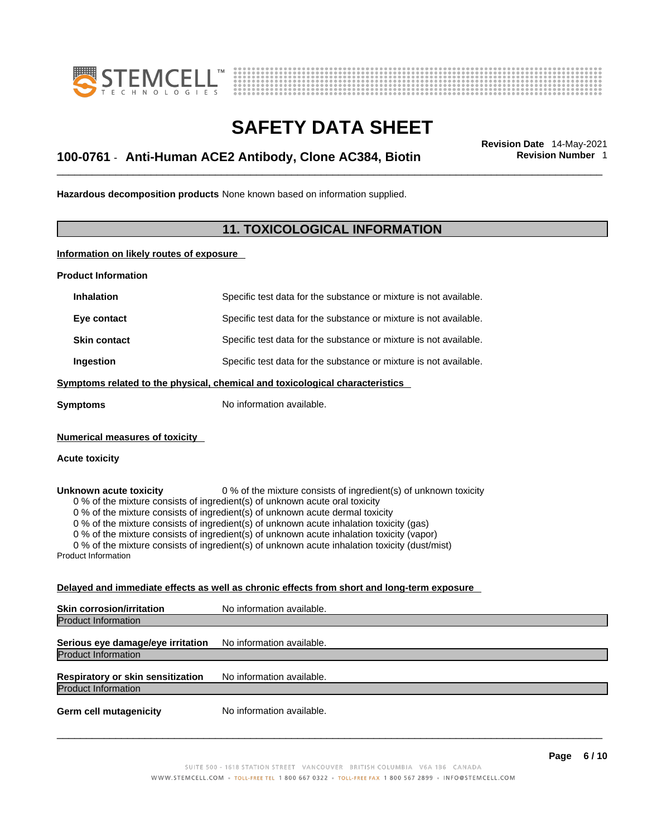



## \_\_\_\_\_\_\_\_\_\_\_\_\_\_\_\_\_\_\_\_\_\_\_\_\_\_\_\_\_\_\_\_\_\_\_\_\_\_\_\_\_\_\_\_\_\_\_\_\_\_\_\_\_\_\_\_\_\_\_\_\_\_\_\_\_\_\_\_\_\_\_\_\_\_\_\_\_\_\_\_\_\_\_\_\_\_\_\_\_\_\_\_\_ **Revision Date** 14-May-2021 **100-0761** - **Anti-Human ACE2 Antibody, Clone AC384, Biotin Revision Number** 1

**Hazardous decomposition products** None known based on information supplied.

### **11. TOXICOLOGICAL INFORMATION**

**Information on likely routes of exposure**

**Product Information**

| <b>Inhalation</b>                                                                                                                                                                                                                                                                                                                                                                                                                                                                                                                                                                 | Specific test data for the substance or mixture is not available.                          |  |
|-----------------------------------------------------------------------------------------------------------------------------------------------------------------------------------------------------------------------------------------------------------------------------------------------------------------------------------------------------------------------------------------------------------------------------------------------------------------------------------------------------------------------------------------------------------------------------------|--------------------------------------------------------------------------------------------|--|
| Eye contact                                                                                                                                                                                                                                                                                                                                                                                                                                                                                                                                                                       | Specific test data for the substance or mixture is not available.                          |  |
| <b>Skin contact</b>                                                                                                                                                                                                                                                                                                                                                                                                                                                                                                                                                               | Specific test data for the substance or mixture is not available.                          |  |
| Ingestion                                                                                                                                                                                                                                                                                                                                                                                                                                                                                                                                                                         | Specific test data for the substance or mixture is not available.                          |  |
|                                                                                                                                                                                                                                                                                                                                                                                                                                                                                                                                                                                   | Symptoms related to the physical, chemical and toxicological characteristics               |  |
| <b>Symptoms</b>                                                                                                                                                                                                                                                                                                                                                                                                                                                                                                                                                                   | No information available.                                                                  |  |
| <b>Numerical measures of toxicity</b>                                                                                                                                                                                                                                                                                                                                                                                                                                                                                                                                             |                                                                                            |  |
| <b>Acute toxicity</b>                                                                                                                                                                                                                                                                                                                                                                                                                                                                                                                                                             |                                                                                            |  |
| 0 % of the mixture consists of ingredient(s) of unknown toxicity<br>Unknown acute toxicity<br>0 % of the mixture consists of ingredient(s) of unknown acute oral toxicity<br>0 % of the mixture consists of ingredient(s) of unknown acute dermal toxicity<br>0 % of the mixture consists of ingredient(s) of unknown acute inhalation toxicity (gas)<br>0 % of the mixture consists of ingredient(s) of unknown acute inhalation toxicity (vapor)<br>0 % of the mixture consists of ingredient(s) of unknown acute inhalation toxicity (dust/mist)<br><b>Product Information</b> |                                                                                            |  |
|                                                                                                                                                                                                                                                                                                                                                                                                                                                                                                                                                                                   | Delayed and immediate effects as well as chronic effects from short and long-term exposure |  |
| <b>Skin corrosion/irritation</b>                                                                                                                                                                                                                                                                                                                                                                                                                                                                                                                                                  | No information available.                                                                  |  |
| <b>Product Information</b>                                                                                                                                                                                                                                                                                                                                                                                                                                                                                                                                                        |                                                                                            |  |
|                                                                                                                                                                                                                                                                                                                                                                                                                                                                                                                                                                                   |                                                                                            |  |

**Serious eye damage/eye irritation** No information available. Product Information

**Respiratory or skin sensitization** No information available. Product Information

**Germ cell mutagenicity** No information available.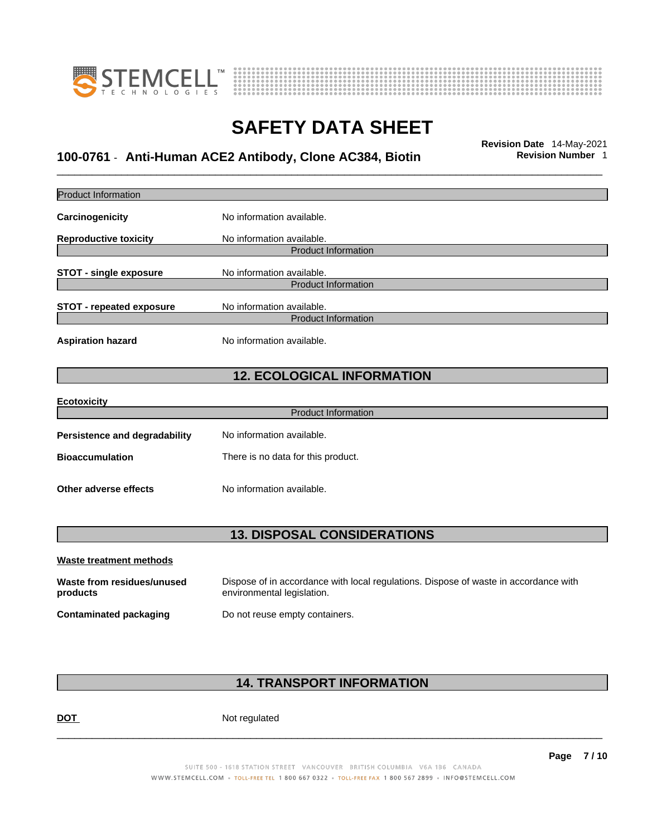



## \_\_\_\_\_\_\_\_\_\_\_\_\_\_\_\_\_\_\_\_\_\_\_\_\_\_\_\_\_\_\_\_\_\_\_\_\_\_\_\_\_\_\_\_\_\_\_\_\_\_\_\_\_\_\_\_\_\_\_\_\_\_\_\_\_\_\_\_\_\_\_\_\_\_\_\_\_\_\_\_\_\_\_\_\_\_\_\_\_\_\_\_\_ **Revision Date** 14-May-2021 **100-0761** - **Anti-Human ACE2 Antibody, Clone AC384, Biotin Revision Number** 1

| <b>Product Information</b>             |                                                                                                                    |
|----------------------------------------|--------------------------------------------------------------------------------------------------------------------|
| Carcinogenicity                        | No information available.                                                                                          |
| <b>Reproductive toxicity</b>           | No information available.                                                                                          |
|                                        | <b>Product Information</b>                                                                                         |
| <b>STOT - single exposure</b>          | No information available.                                                                                          |
|                                        | <b>Product Information</b>                                                                                         |
| <b>STOT - repeated exposure</b>        | No information available.                                                                                          |
|                                        | <b>Product Information</b>                                                                                         |
| <b>Aspiration hazard</b>               | No information available.                                                                                          |
|                                        | <b>12. ECOLOGICAL INFORMATION</b>                                                                                  |
| <b>Ecotoxicity</b>                     |                                                                                                                    |
|                                        | <b>Product Information</b>                                                                                         |
|                                        |                                                                                                                    |
| <b>Persistence and degradability</b>   | No information available.                                                                                          |
| <b>Bioaccumulation</b>                 | There is no data for this product.                                                                                 |
| Other adverse effects                  | No information available.                                                                                          |
|                                        | <b>13. DISPOSAL CONSIDERATIONS</b>                                                                                 |
| Waste treatment methods                |                                                                                                                    |
|                                        |                                                                                                                    |
| Waste from residues/unused<br>products | Dispose of in accordance with local regulations. Dispose of waste in accordance with<br>environmental legislation. |
| <b>Contaminated packaging</b>          | Do not reuse empty containers.                                                                                     |
|                                        |                                                                                                                    |
|                                        |                                                                                                                    |

### **14. TRANSPORT INFORMATION**

DOT Not regulated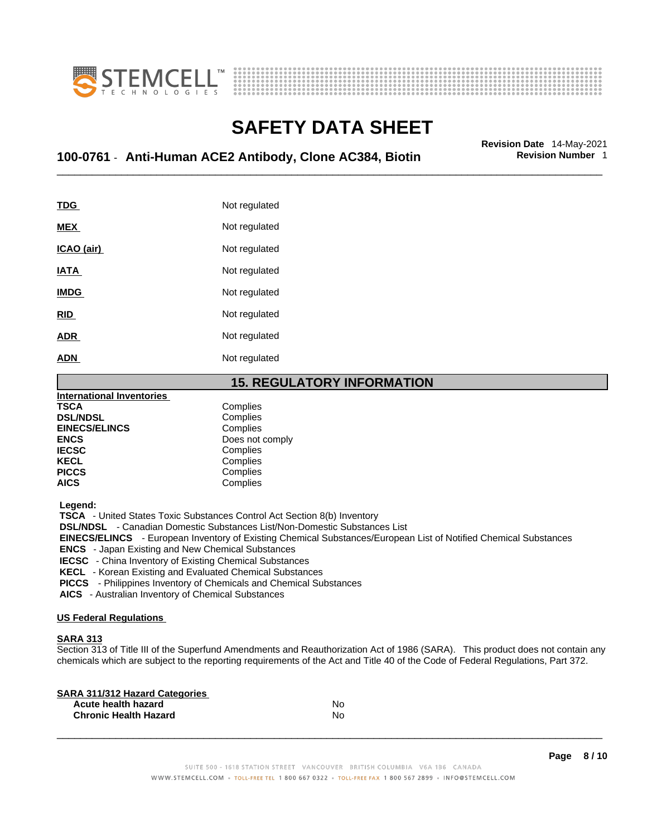



## \_\_\_\_\_\_\_\_\_\_\_\_\_\_\_\_\_\_\_\_\_\_\_\_\_\_\_\_\_\_\_\_\_\_\_\_\_\_\_\_\_\_\_\_\_\_\_\_\_\_\_\_\_\_\_\_\_\_\_\_\_\_\_\_\_\_\_\_\_\_\_\_\_\_\_\_\_\_\_\_\_\_\_\_\_\_\_\_\_\_\_\_\_ **Revision Date** 14-May-2021 **100-0761** - **Anti-Human ACE2 Antibody, Clone AC384, Biotin Revision Number** 1

| TDG         | Not regulated |
|-------------|---------------|
| <b>MEX</b>  | Not regulated |
| ICAO (air)  | Not regulated |
| <b>IATA</b> | Not regulated |
| <b>IMDG</b> | Not regulated |
| <b>RID</b>  | Not regulated |
| <b>ADR</b>  | Not regulated |
| <b>ADN</b>  | Not regulated |
|             |               |

### **15. REGULATORY INFORMATION**

| <b>International Inventories</b> |                 |
|----------------------------------|-----------------|
| <b>TSCA</b>                      | Complies        |
| <b>DSL/NDSL</b>                  | Complies        |
| <b>EINECS/ELINCS</b>             | Complies        |
| <b>ENCS</b>                      | Does not comply |
| <b>IECSC</b>                     | Complies        |
| <b>KECL</b>                      | Complies        |
| <b>PICCS</b>                     | Complies        |
| <b>AICS</b>                      | Complies        |

 **Legend:** 

 **TSCA** - United States Toxic Substances Control Act Section 8(b) Inventory

 **DSL/NDSL** - Canadian Domestic Substances List/Non-Domestic Substances List

 **EINECS/ELINCS** - European Inventory of Existing Chemical Substances/European List of Notified Chemical Substances

 **ENCS** - Japan Existing and New Chemical Substances

 **IECSC** - China Inventory of Existing Chemical Substances

 **KECL** - Korean Existing and Evaluated Chemical Substances

 **PICCS** - Philippines Inventory of Chemicals and Chemical Substances

 **AICS** - Australian Inventory of Chemical Substances

### **US Federal Regulations**

### **SARA 313**

Section 313 of Title III of the Superfund Amendments and Reauthorization Act of 1986 (SARA). This product does not contain any chemicals which are subject to the reporting requirements of the Act and Title 40 of the Code of Federal Regulations, Part 372.

| No |  |
|----|--|
| No |  |
|    |  |

 $\_$  ,  $\_$  ,  $\_$  ,  $\_$  ,  $\_$  ,  $\_$  ,  $\_$  ,  $\_$  ,  $\_$  ,  $\_$  ,  $\_$  ,  $\_$  ,  $\_$  ,  $\_$  ,  $\_$  ,  $\_$  ,  $\_$  ,  $\_$  ,  $\_$  ,  $\_$  ,  $\_$  ,  $\_$  ,  $\_$  ,  $\_$  ,  $\_$  ,  $\_$  ,  $\_$  ,  $\_$  ,  $\_$  ,  $\_$  ,  $\_$  ,  $\_$  ,  $\_$  ,  $\_$  ,  $\_$  ,  $\_$  ,  $\_$  ,

**Page 8 / 10**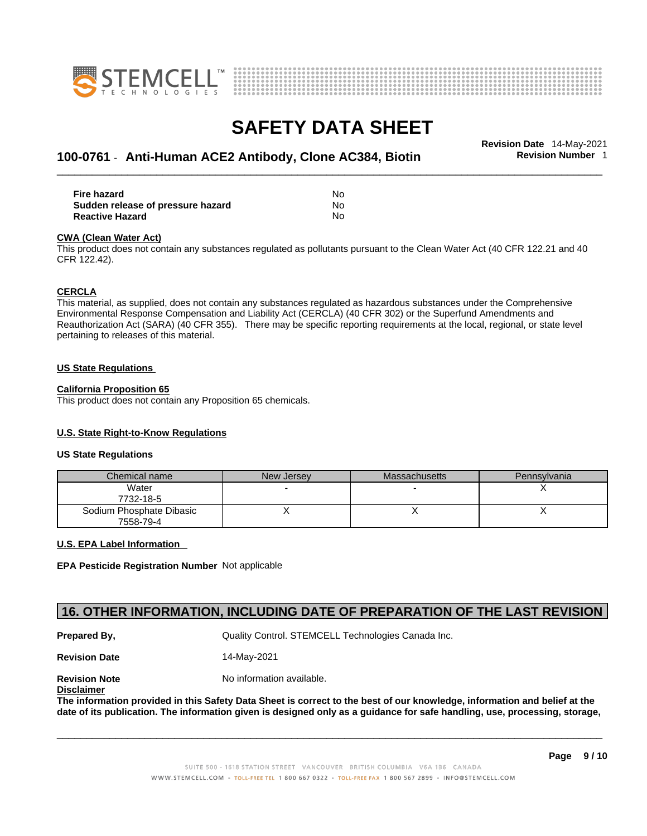



## \_\_\_\_\_\_\_\_\_\_\_\_\_\_\_\_\_\_\_\_\_\_\_\_\_\_\_\_\_\_\_\_\_\_\_\_\_\_\_\_\_\_\_\_\_\_\_\_\_\_\_\_\_\_\_\_\_\_\_\_\_\_\_\_\_\_\_\_\_\_\_\_\_\_\_\_\_\_\_\_\_\_\_\_\_\_\_\_\_\_\_\_\_ **Revision Date** 14-May-2021 **100-0761** - **Anti-Human ACE2 Antibody, Clone AC384, Biotin Revision Number** 1

| <b>Fire hazard</b>                | No  |
|-----------------------------------|-----|
| Sudden release of pressure hazard | No. |
| <b>Reactive Hazard</b>            | N٥  |

#### **CWA** (Clean Water Act)

This product does not contain any substances regulated as pollutants pursuant to the Clean Water Act (40 CFR 122.21 and 40 CFR 122.42).

#### **CERCLA**

This material, as supplied, does not contain any substances regulated as hazardous substances under the Comprehensive Environmental Response Compensation and Liability Act (CERCLA) (40 CFR 302) or the Superfund Amendments and Reauthorization Act (SARA) (40 CFR 355). There may be specific reporting requirements at the local, regional, or state level pertaining to releases of this material.

#### **US State Regulations**

#### **California Proposition 65**

This product does not contain any Proposition 65 chemicals.

### **U.S. State Right-to-Know Regulations**

#### **US State Regulations**

| Chemical name                         | New Jersey | Massachusetts | Pennsylvania |
|---------------------------------------|------------|---------------|--------------|
| Water<br>7732-18-5                    |            |               |              |
| Sodium Phosphate Dibasic<br>7558-79-4 |            |               |              |

### **U.S. EPA Label Information**

**EPA Pesticide Registration Number** Not applicable

### **16. OTHER INFORMATION, INCLUDING DATE OF PREPARATION OF THE LAST REVISION**

**Prepared By, State Control. STEMCELL Technologies Canada Inc.** Canada Inc.

**Revision Date** 14-May-2021

**Disclaimer**

**Revision Note** Noinformation available.

The information provided in this Safety Data Sheet is correct to the best of our knowledge, information and belief at the date of its publication. The information given is designed only as a guidance for safe handling, use, processing, storage,